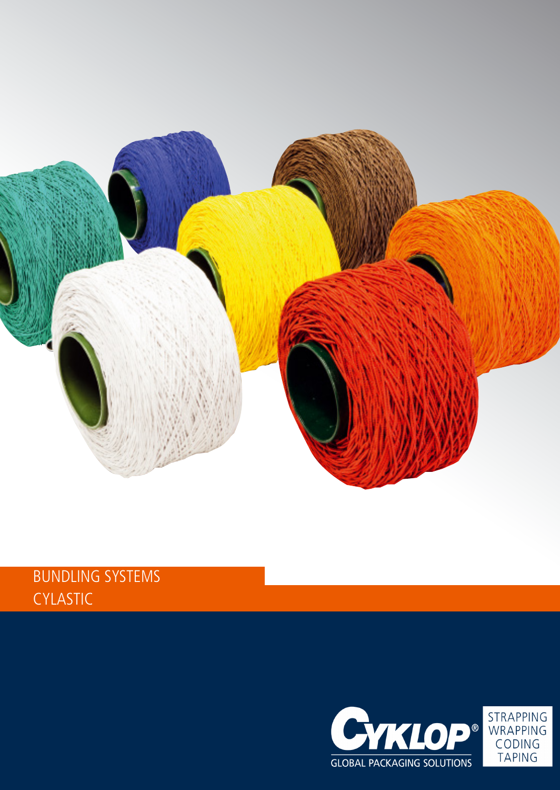

## BUNDLING SYSTEMS CYLASTIC